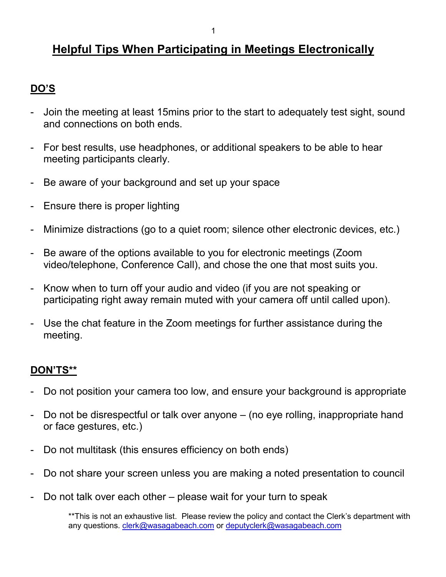# **Helpful Tips When Participating in Meetings Electronically**

## **DO'S**

- Join the meeting at least 15mins prior to the start to adequately test sight, sound and connections on both ends.
- For best results, use headphones, or additional speakers to be able to hear meeting participants clearly.
- Be aware of your background and set up your space
- Ensure there is proper lighting
- Minimize distractions (go to a quiet room; silence other electronic devices, etc.)
- Be aware of the options available to you for electronic meetings (Zoom video/telephone, Conference Call), and chose the one that most suits you.
- Know when to turn off your audio and video (if you are not speaking or participating right away remain muted with your camera off until called upon).
- Use the chat feature in the Zoom meetings for further assistance during the meeting.

## **DON'TS\*\***

- Do not position your camera too low, and ensure your background is appropriate
- Do not be disrespectful or talk over anyone (no eye rolling, inappropriate hand or face gestures, etc.)
- Do not multitask (this ensures efficiency on both ends)
- Do not share your screen unless you are making a noted presentation to council
- Do not talk over each other please wait for your turn to speak

\*\* This is not an exhaustive list. Please review the policy and contact the Clerk's department with any questions. [clerk@wasagabeach.com](mailto:clerk@wasagabeach.com) or [deputyclerk@wasagabeach.com](mailto:deputyclerk@wasagabeach.com)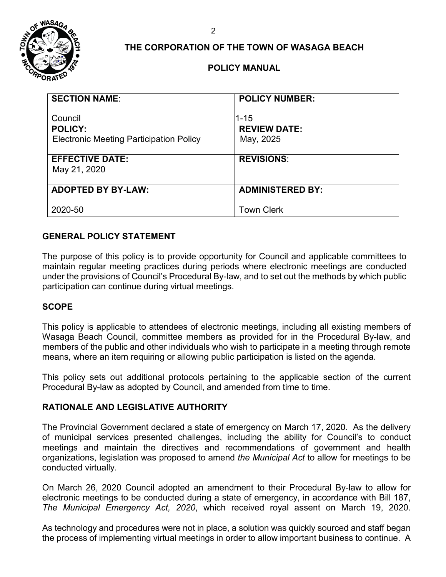

## **THE CORPORATION OF THE TOWN OF WASAGA BEACH**

## **POLICY MANUAL**

| <b>SECTION NAME:</b>                           | <b>POLICY NUMBER:</b>       |
|------------------------------------------------|-----------------------------|
| Council<br><b>POLICY:</b>                      | 1-15<br><b>REVIEW DATE:</b> |
| <b>Electronic Meeting Participation Policy</b> | May, 2025                   |
|                                                |                             |
| <b>EFFECTIVE DATE:</b>                         | <b>REVISIONS:</b>           |
| May 21, 2020                                   |                             |
| <b>ADOPTED BY BY-LAW:</b>                      | <b>ADMINISTERED BY:</b>     |
| 2020-50                                        | <b>Town Clerk</b>           |

## **GENERAL POLICY STATEMENT**

The purpose of this policy is to provide opportunity for Council and applicable committees to maintain regular meeting practices during periods where electronic meetings are conducted under the provisions of Council's Procedural By-law, and to set out the methods by which public participation can continue during virtual meetings.

## **SCOPE**

This policy is applicable to attendees of electronic meetings, including all existing members of Wasaga Beach Council, committee members as provided for in the Procedural By-law, and members of the public and other individuals who wish to participate in a meeting through remote means, where an item requiring or allowing public participation is listed on the agenda.

This policy sets out additional protocols pertaining to the applicable section of the current Procedural By-law as adopted by Council, and amended from time to time.

## **RATIONALE AND LEGISLATIVE AUTHORITY**

The Provincial Government declared a state of emergency on March 17, 2020. As the delivery of municipal services presented challenges, including the ability for Council's to conduct meetings and maintain the directives and recommendations of government and health organizations, legislation was proposed to amend *the Municipal Act* to allow for meetings to be conducted virtually.

On March 26, 2020 Council adopted an amendment to their Procedural By-law to allow for electronic meetings to be conducted during a state of emergency, in accordance with Bill 187, *The Municipal Emergency Act, 2020*, which received royal assent on March 19, 2020.

As technology and procedures were not in place, a solution was quickly sourced and staff began the process of implementing virtual meetings in order to allow important business to continue. A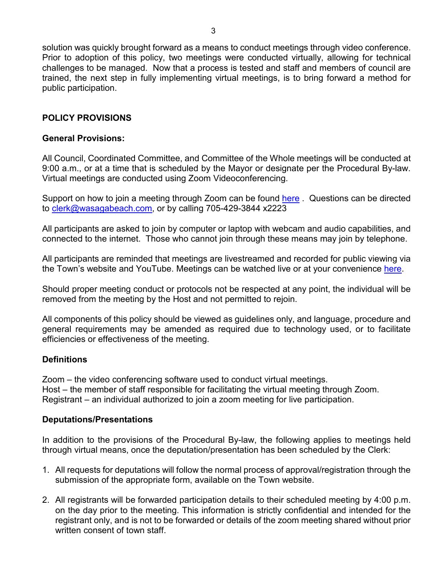solution was quickly brought forward as a means to conduct meetings through video conference. Prior to adoption of this policy, two meetings were conducted virtually, allowing for technical challenges to be managed. Now that a process is tested and staff and members of council are trained, the next step in fully implementing virtual meetings, is to bring forward a method for public participation.

## **POLICY PROVISIONS**

## **General Provisions:**

All Council, Coordinated Committee, and Committee of the Whole meetings will be conducted at 9:00 a.m., or at a time that is scheduled by the Mayor or designate per the Procedural By-law. Virtual meetings are conducted using Zoom Videoconferencing.

Support on how to join a meeting through Zoom can be found [here](https://support.zoom.us/hc/en-us/articles/201362193-Joining-a-Meeting) . Questions can be directed to [clerk@wasagabeach.com,](mailto:clerk@wasagabeach.com) or by calling 705-429-3844 x2223

All participants are asked to join by computer or laptop with webcam and audio capabilities, and connected to the internet. Those who cannot join through these means may join by telephone.

All participants are reminded that meetings are livestreamed and recorded for public viewing via the Town's website and YouTube. Meetings can be watched live or at your convenience [here.](https://wasagabeach.civicweb.net/portal/)

Should proper meeting conduct or protocols not be respected at any point, the individual will be removed from the meeting by the Host and not permitted to rejoin.

All components of this policy should be viewed as guidelines only, and language, procedure and general requirements may be amended as required due to technology used, or to facilitate efficiencies or effectiveness of the meeting.

## **Definitions**

Zoom – the video conferencing software used to conduct virtual meetings. Host – the member of staff responsible for facilitating the virtual meeting through Zoom. Registrant – an individual authorized to join a zoom meeting for live participation.

## **Deputations/Presentations**

In addition to the provisions of the Procedural By-law, the following applies to meetings held through virtual means, once the deputation/presentation has been scheduled by the Clerk:

- 1. All requests for deputations will follow the normal process of approval/registration through the submission of the appropriate form, available on the Town website.
- 2. All registrants will be forwarded participation details to their scheduled meeting by 4:00 p.m. on the day prior to the meeting. This information is strictly confidential and intended for the registrant only, and is not to be forwarded or details of the zoom meeting shared without prior written consent of town staff.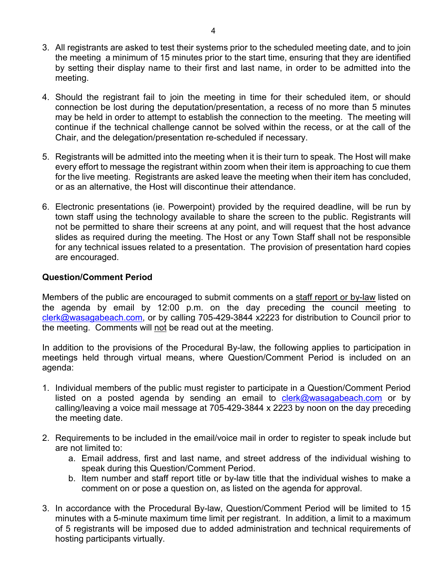- 3. All registrants are asked to test their systems prior to the scheduled meeting date, and to join the meeting a minimum of 15 minutes prior to the start time, ensuring that they are identified by setting their display name to their first and last name, in order to be admitted into the meeting.
- 4. Should the registrant fail to join the meeting in time for their scheduled item, or should connection be lost during the deputation/presentation, a recess of no more than 5 minutes may be held in order to attempt to establish the connection to the meeting. The meeting will continue if the technical challenge cannot be solved within the recess, or at the call of the Chair, and the delegation/presentation re-scheduled if necessary.
- 5. Registrants will be admitted into the meeting when it is their turn to speak. The Host will make every effort to message the registrant within zoom when their item is approaching to cue them for the live meeting. Registrants are asked leave the meeting when their item has concluded, or as an alternative, the Host will discontinue their attendance.
- 6. Electronic presentations (ie. Powerpoint) provided by the required deadline, will be run by town staff using the technology available to share the screen to the public. Registrants will not be permitted to share their screens at any point, and will request that the host advance slides as required during the meeting. The Host or any Town Staff shall not be responsible for any technical issues related to a presentation. The provision of presentation hard copies are encouraged.

## **Question/Comment Period**

Members of the public are encouraged to submit comments on a staff report or by-law listed on the agenda by email by 12:00 p.m. on the day preceding the council meeting to [clerk@wasagabeach.com,](mailto:clerk@wasagabeach.com) or by calling 705-429-3844 x2223 for distribution to Council prior to the meeting. Comments will not be read out at the meeting.

In addition to the provisions of the Procedural By-law, the following applies to participation in meetings held through virtual means, where Question/Comment Period is included on an agenda:

- 1. Individual members of the public must register to participate in a Question/Comment Period listed on a posted agenda by sending an email to  $c$ lerk@wasagabeach.com or by calling/leaving a voice mail message at 705-429-3844 x 2223 by noon on the day preceding the meeting date.
- 2. Requirements to be included in the email/voice mail in order to register to speak include but are not limited to:
	- a. Email address, first and last name, and street address of the individual wishing to speak during this Question/Comment Period.
	- b. Item number and staff report title or by-law title that the individual wishes to make a comment on or pose a question on, as listed on the agenda for approval.
- 3. In accordance with the Procedural By-law, Question/Comment Period will be limited to 15 minutes with a 5-minute maximum time limit per registrant. In addition, a limit to a maximum of 5 registrants will be imposed due to added administration and technical requirements of hosting participants virtually.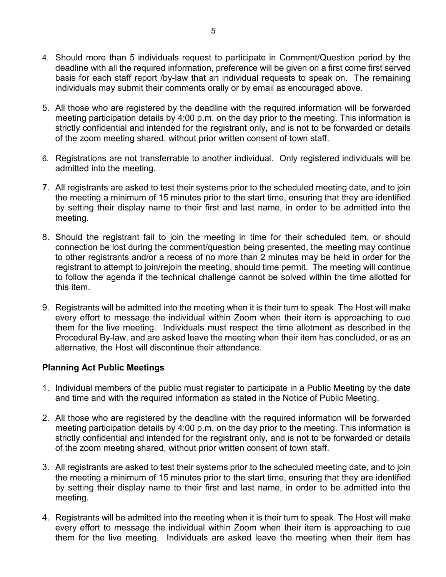- 4. Should more than 5 individuals request to participate in Comment/Question period by the deadline with all the required information, preference will be given on a first come first served basis for each staff report /by-law that an individual requests to speak on. The remaining individuals may submit their comments orally or by email as encouraged above.
- 5. All those who are registered by the deadline with the required information will be forwarded meeting participation details by 4:00 p.m. on the day prior to the meeting. This information is strictly confidential and intended for the registrant only, and is not to be forwarded or details of the zoom meeting shared, without prior written consent of town staff.
- 6. Registrations are not transferrable to another individual. Only registered individuals will be admitted into the meeting.
- 7. All registrants are asked to test their systems prior to the scheduled meeting date, and to join the meeting a minimum of 15 minutes prior to the start time, ensuring that they are identified by setting their display name to their first and last name, in order to be admitted into the meeting.
- 8. Should the registrant fail to join the meeting in time for their scheduled item, or should connection be lost during the comment/question being presented, the meeting may continue to other registrants and/or a recess of no more than 2 minutes may be held in order for the registrant to attempt to join/rejoin the meeting, should time permit. The meeting will continue to follow the agenda if the technical challenge cannot be solved within the time allotted for this item.
- 9. Registrants will be admitted into the meeting when it is their turn to speak. The Host will make every effort to message the individual within Zoom when their item is approaching to cue them for the live meeting. Individuals must respect the time allotment as described in the Procedural By-law, and are asked leave the meeting when their item has concluded, or as an alternative, the Host will discontinue their attendance.

## **Planning Act Public Meetings**

- 1. Individual members of the public must register to participate in a Public Meeting by the date and time and with the required information as stated in the Notice of Public Meeting.
- 2. All those who are registered by the deadline with the required information will be forwarded meeting participation details by 4:00 p.m. on the day prior to the meeting. This information is strictly confidential and intended for the registrant only, and is not to be forwarded or details of the zoom meeting shared, without prior written consent of town staff.
- 3. All registrants are asked to test their systems prior to the scheduled meeting date, and to join the meeting a minimum of 15 minutes prior to the start time, ensuring that they are identified by setting their display name to their first and last name, in order to be admitted into the meeting.
- 4. Registrants will be admitted into the meeting when it is their turn to speak. The Host will make every effort to message the individual within Zoom when their item is approaching to cue them for the live meeting. Individuals are asked leave the meeting when their item has